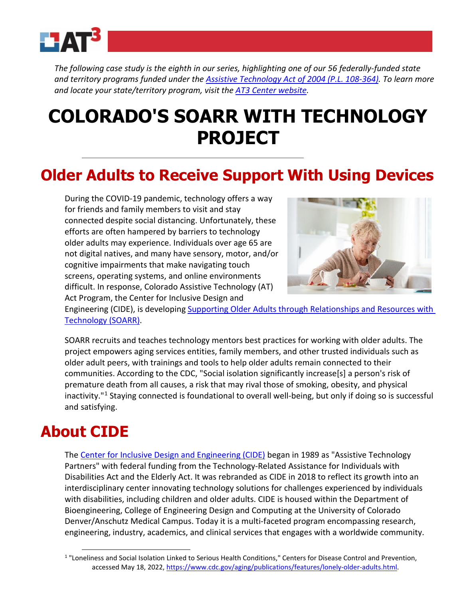

*The following case study is the eighth in our series, highlighting one of our 56 federally-funded state and territory programs funded under the [Assistive Technology Act of 2004 \(P.L. 108-364\).](https://www.ataporg.org/Content/EOCONTENTMEDIACENTER/documents/AT%20Act%20Info/atact_law.pdf) To learn more and locate your state/territory program, visit the [AT3 Center website.](https://www.at3center.net/)* 

# **COLORADO'S SOARR WITH TECHNOLOGY PROJECT**

## **Older Adults to Receive Support With Using Devices**

During the COVID-19 pandemic, technology offers a way for friends and family members to visit and stay connected despite social distancing. Unfortunately, these efforts are often hampered by barriers to technology older adults may experience. Individuals over age 65 are not digital natives, and many have sensory, motor, and/or cognitive impairments that make navigating touch screens, operating systems, and online environments difficult. In response, Colorado Assistive Technology (AT) Act Program, the Center for Inclusive Design and



Engineering (CIDE), is developing [Supporting Older Adults through Relationships and Resources with](https://www.ucdenver.edu/centers/center-for-inclusive-design-and-engineering/community-engagement/supporting-older-adults-through-relationships-and-resources-(soarr)-with-technology)  [Technology \(SOARR\).](https://www.ucdenver.edu/centers/center-for-inclusive-design-and-engineering/community-engagement/supporting-older-adults-through-relationships-and-resources-(soarr)-with-technology)

SOARR recruits and teaches technology mentors best practices for working with older adults. The project empowers aging services entities, family members, and other trusted individuals such as older adult peers, with trainings and tools to help older adults remain connected to their communities. According to the CDC, "Social isolation significantly increase[s] a person's risk of premature death from all causes, a risk that may rival those of smoking, obesity, and physical inactivity."[1](#page-0-0) Staying connected is foundational to overall well-being, but only if doing so is successful and satisfying.

## **About CIDE**

The [Center for Inclusive Design and Engineering \(CIDE\)](https://www.ucdenver.edu/centers/center-for-inclusive-design-and-engineering/community-engagement/supporting-older-adults-through-relationships-and-resources-(soarr)-with-technology) began in 1989 as "Assistive Technology Partners" with federal funding from the Technology-Related Assistance for Individuals with Disabilities Act and the Elderly Act. It was rebranded as CIDE in 2018 to reflect its growth into an interdisciplinary center innovating technology solutions for challenges experienced by individuals with disabilities, including children and older adults. CIDE is housed within the Department of Bioengineering, College of Engineering Design and Computing at the University of Colorado Denver/Anschutz Medical Campus. Today it is a multi-faceted program encompassing research, engineering, industry, academics, and clinical services that engages with a worldwide community.

<span id="page-0-0"></span><sup>1</sup> "Loneliness and Social Isolation Linked to Serious Health Conditions," Centers for Disease Control and Prevention, accessed May 18, 2022, [https://www.cdc.gov/aging/publications/features/lonely-older-adults.html.](https://www.cdc.gov/aging/publications/features/lonely-older-adults.html)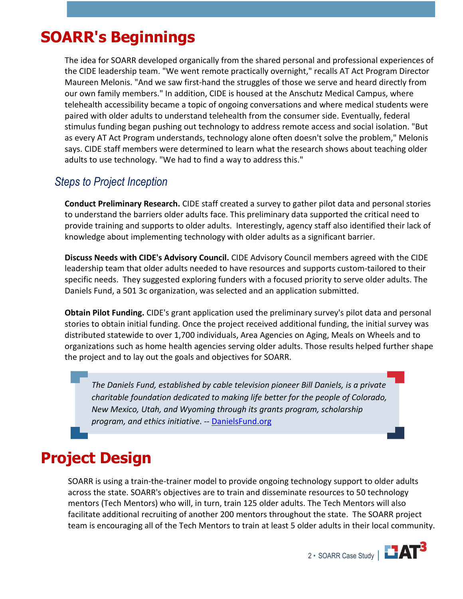# **SOARR's Beginnings**

The idea for SOARR developed organically from the shared personal and professional experiences of the CIDE leadership team. "We went remote practically overnight," recalls AT Act Program Director Maureen Melonis. "And we saw first-hand the struggles of those we serve and heard directly from our own family members." In addition, CIDE is housed at the Anschutz Medical Campus, where telehealth accessibility became a topic of ongoing conversations and where medical students were paired with older adults to understand telehealth from the consumer side. Eventually, federal stimulus funding began pushing out technology to address remote access and social isolation. "But as every AT Act Program understands, technology alone often doesn't solve the problem," Melonis says. CIDE staff members were determined to learn what the research shows about teaching older adults to use technology. "We had to find a way to address this."

#### *Steps to Project Inception*

**Conduct Preliminary Research.** CIDE staff created a survey to gather pilot data and personal stories to understand the barriers older adults face. This preliminary data supported the critical need to provide training and supports to older adults. Interestingly, agency staff also identified their lack of knowledge about implementing technology with older adults as a significant barrier.

**Discuss Needs with CIDE's Advisory Council.** CIDE Advisory Council members agreed with the CIDE leadership team that older adults needed to have resources and supports custom-tailored to their specific needs. They suggested exploring funders with a focused priority to serve older adults. The Daniels Fund, a 501 3c organization, was selected and an application submitted.

**Obtain Pilot Funding.** CIDE's grant application used the preliminary survey's pilot data and personal stories to obtain initial funding. Once the project received additional funding, the initial survey was distributed statewide to over 1,700 individuals, Area Agencies on Aging, Meals on Wheels and to organizations such as home health agencies serving older adults. Those results helped further shape the project and to lay out the goals and objectives for SOARR.

*The Daniels Fund, established by cable television pioneer Bill Daniels, is a private charitable foundation dedicated to making life better for the people of Colorado, New Mexico, Utah, and Wyoming through its grants program, scholarship program, and ethics initiative*. -- [DanielsFund.org](https://danielsfund.org/about-daniels-fund/mission)

# **Project Design**

SOARR is using a train-the-trainer model to provide ongoing technology support to older adults across the state. SOARR's objectives are to train and disseminate resources to 50 technology mentors (Tech Mentors) who will, in turn, train 125 older adults. The Tech Mentors will also facilitate additional recruiting of another 200 mentors throughout the state. The SOARR project team is encouraging all of the Tech Mentors to train at least 5 older adults in their local community.

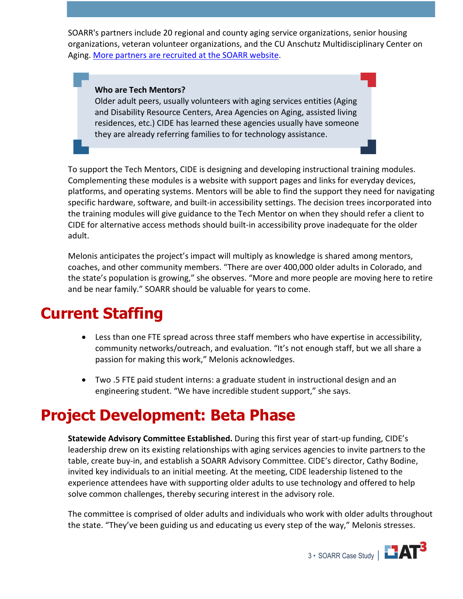SOARR's partners include 20 regional and county aging service organizations, senior housing organizations, veteran volunteer organizations, and the CU Anschutz Multidisciplinary Center on Aging. [More partners are recruited at the SOARR website.](https://ucdenverdata.formstack.com/forms/soarr_partner_survey)

#### **Who are Tech Mentors?**

Older adult peers, usually volunteers with aging services entities (Aging and Disability Resource Centers, Area Agencies on Aging, assisted living residences, etc.) CIDE has learned these agencies usually have someone they are already referring families to for technology assistance.

To support the Tech Mentors, CIDE is designing and developing instructional training modules. Complementing these modules is a website with support pages and links for everyday devices, platforms, and operating systems. Mentors will be able to find the support they need for navigating specific hardware, software, and built-in accessibility settings. The decision trees incorporated into the training modules will give guidance to the Tech Mentor on when they should refer a client to CIDE for alternative access methods should built-in accessibility prove inadequate for the older adult.

Melonis anticipates the project's impact will multiply as knowledge is shared among mentors, coaches, and other community members. "There are over 400,000 older adults in Colorado, and the state's population is growing," she observes. "More and more people are moving here to retire and be near family." SOARR should be valuable for years to come.

## **Current Staffing**

- Less than one FTE spread across three staff members who have expertise in accessibility, community networks/outreach, and evaluation. "It's not enough staff, but we all share a passion for making this work," Melonis acknowledges.
- Two .5 FTE paid student interns: a graduate student in instructional design and an engineering student. "We have incredible student support," she says.

## **Project Development: Beta Phase**

**Statewide Advisory Committee Established.** During this first year of start-up funding, CIDE's leadership drew on its existing relationships with aging services agencies to invite partners to the table, create buy-in, and establish a SOARR Advisory Committee. CIDE's director, Cathy Bodine, invited key individuals to an initial meeting. At the meeting, CIDE leadership listened to the experience attendees have with supporting older adults to use technology and offered to help solve common challenges, thereby securing interest in the advisory role.

The committee is comprised of older adults and individuals who work with older adults throughout the state. "They've been guiding us and educating us every step of the way," Melonis stresses.

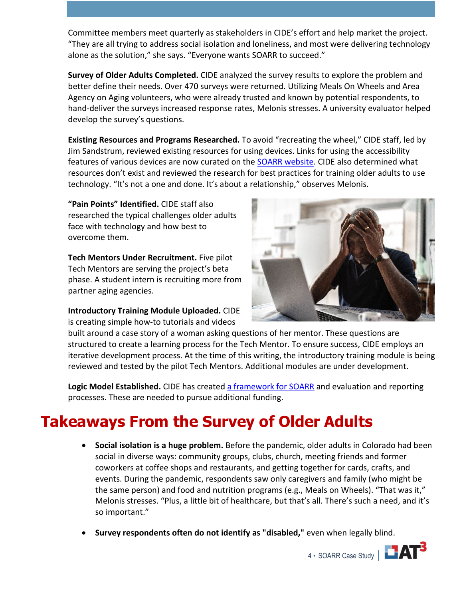Committee members meet quarterly as stakeholders in CIDE's effort and help market the project. "They are all trying to address social isolation and loneliness, and most were delivering technology alone as the solution," she says. "Everyone wants SOARR to succeed."

**Survey of Older Adults Completed.** CIDE analyzed the survey results to explore the problem and better define their needs. Over 470 surveys were returned. Utilizing Meals On Wheels and Area Agency on Aging volunteers, who were already trusted and known by potential respondents, to hand-deliver the surveys increased response rates, Melonis stresses. A university evaluator helped develop the survey's questions.

**Existing Resources and Programs Researched.** To avoid "recreating the wheel," CIDE staff, led by Jim Sandstrum, reviewed existing resources for using devices. Links for using the accessibility features of various devices are now curated on the **SOARR website**. CIDE also determined what resources don't exist and reviewed the research for best practices for training older adults to use technology. "It's not a one and done. It's about a relationship," observes Melonis.

**"Pain Points" Identified.** CIDE staff also researched the typical challenges older adults face with technology and how best to overcome them.

**Tech Mentors Under Recruitment.** Five pilot Tech Mentors are serving the project's beta phase. A student intern is recruiting more from partner aging agencies.

#### **Introductory Training Module Uploaded.** CIDE is creating simple how-to tutorials and videos



built around a case story of a woman asking questions of her mentor. These questions are structured to create a learning process for the Tech Mentor. To ensure success, CIDE employs an iterative development process. At the time of this writing, the introductory training module is being reviewed and tested by the pilot Tech Mentors. Additional modules are under development.

Logic Model Established. CIDE has created [a framework for SOARR](https://at3center.net/wp-content/uploads/unattached/soarr-logic-model.pdf) and evaluation and reporting processes. These are needed to pursue additional funding.

# **Takeaways From the Survey of Older Adults**

- **Social isolation is a huge problem.** Before the pandemic, older adults in Colorado had been social in diverse ways: community groups, clubs, church, meeting friends and former coworkers at coffee shops and restaurants, and getting together for cards, crafts, and events. During the pandemic, respondents saw only caregivers and family (who might be the same person) and food and nutrition programs (e.g., Meals on Wheels). "That was it," Melonis stresses. "Plus, a little bit of healthcare, but that's all. There's such a need, and it's so important."
- **Survey respondents often do not identify as "disabled,"** even when legally blind.

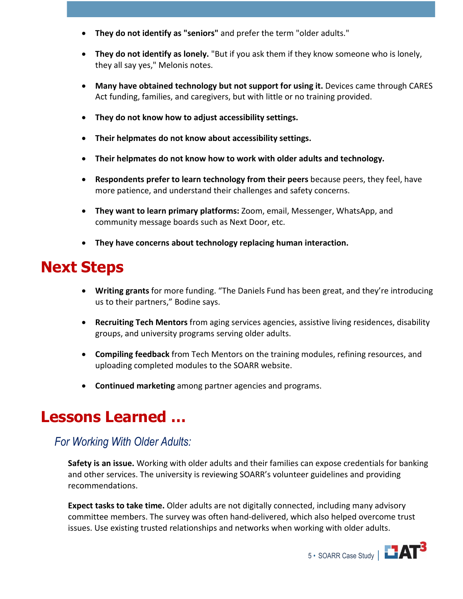- **They do not identify as "seniors"** and prefer the term "older adults."
- **They do not identify as lonely.** "But if you ask them if they know someone who is lonely, they all say yes," Melonis notes.
- **Many have obtained technology but not support for using it.** Devices came through CARES Act funding, families, and caregivers, but with little or no training provided.
- **They do not know how to adjust accessibility settings.**
- **Their helpmates do not know about accessibility settings.**
- **Their helpmates do not know how to work with older adults and technology.**
- **Respondents prefer to learn technology from their peers** because peers, they feel, have more patience, and understand their challenges and safety concerns.
- **They want to learn primary platforms:** Zoom, email, Messenger, WhatsApp, and community message boards such as Next Door, etc.
- **They have concerns about technology replacing human interaction.**

## **Next Steps**

- **Writing grants** for more funding. "The Daniels Fund has been great, and they're introducing us to their partners," Bodine says.
- **Recruiting Tech Mentors** from aging services agencies, assistive living residences, disability groups, and university programs serving older adults.
- **Compiling feedback** from Tech Mentors on the training modules, refining resources, and uploading completed modules to the SOARR website.
- **Continued marketing** among partner agencies and programs.

### **Lessons Learned …**

#### *For Working With Older Adults:*

**Safety is an issue.** Working with older adults and their families can expose credentials for banking and other services. The university is reviewing SOARR's volunteer guidelines and providing recommendations.

**Expect tasks to take time.** Older adults are not digitally connected, including many advisory committee members. The survey was often hand-delivered, which also helped overcome trust issues. Use existing trusted relationships and networks when working with older adults.